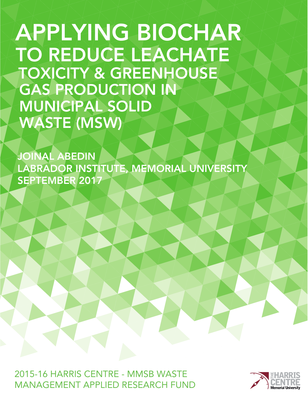APPLYING BIOCHAR TO REDUCE LEACHATE TOXICITY & GREENHOUSE GAS PRODUCTION IN MUNICIPAL SOLID WASTE (MSW)

JOINAL ABEDIN LABRADOR INSTITUTE, MEMORIAL UNIVERSITY SEPTEMBER 2017

2015-16 HARRIS CENTRE - MMSB WASTE MANAGFMENT APPLIED RESEARCH FUND

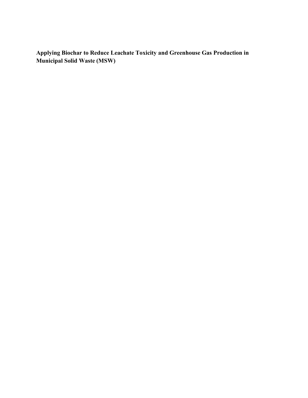**Applying Biochar to Reduce Leachate Toxicity and Greenhouse Gas Production in Municipal Solid Waste (MSW)**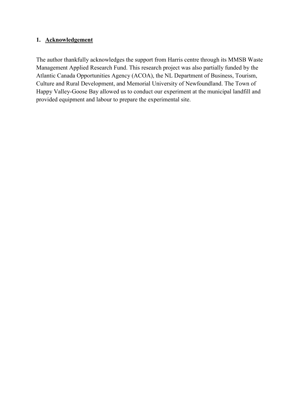## **1. Acknowledgement**

The author thankfully acknowledges the support from Harris centre through its MMSB Waste Management Applied Research Fund. This research project was also partially funded by the Atlantic Canada Opportunities Agency (ACOA), the NL Department of Business, Tourism, Culture and Rural Development, and Memorial University of Newfoundland. The Town of Happy Valley-Goose Bay allowed us to conduct our experiment at the municipal landfill and provided equipment and labour to prepare the experimental site.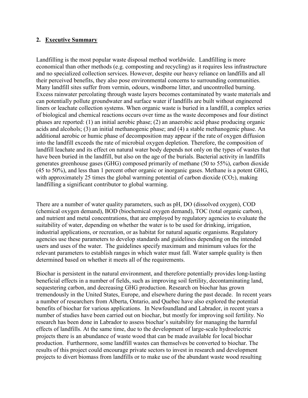## **2. Executive Summary**

Landfilling is the most popular waste disposal method worldwide. Landfilling is more economical than other methods (e.g. composting and recycling) as it requires less infrastructure and no specialized collection services. However, despite our heavy reliance on landfills and all their perceived benefits, they also pose environmental concerns to surrounding communities. Many landfill sites suffer from vermin, odours, windborne litter, and uncontrolled burning. Excess rainwater percolating through waste layers becomes contaminated by waste materials and can potentially pollute groundwater and surface water if landfills are built without engineered liners or leachate collection systems. When organic waste is buried in a landfill, a complex series of biological and chemical reactions occurs over time as the waste decomposes and four distinct phases are reported: (1) an initial aerobic phase; (2) an anaerobic acid phase producing organic acids and alcohols; (3) an initial methanogenic phase; and (4) a stable methanogenic phase. An additional aerobic or humic phase of decomposition may appear if the rate of oxygen diffusion into the landfill exceeds the rate of microbial oxygen depletion. Therefore, the composition of landfill leachate and its effect on natural water body depends not only on the types of wastes that have been buried in the landfill, but also on the age of the burials. Bacterial activity in landfills generates greenhouse gases (GHG) composed primarily of methane (50 to 55%), carbon dioxide (45 to 50%), and less than 1 percent other organic or inorganic gases. Methane is a potent GHG, with approximately 25 times the global warming potential of carbon dioxide  $(CO<sub>2</sub>)$ , making landfilling a significant contributor to global warming.

There are a number of water quality parameters, such as pH, DO (dissolved oxygen), COD (chemical oxygen demand), BOD (biochemical oxygen demand), TOC (total organic carbon), and nutrient and metal concentrations, that are employed by regulatory agencies to evaluate the suitability of water, depending on whether the water is to be used for drinking, irrigation, industrial applications, or recreation, or as habitat for natural aquatic organisms. Regulatory agencies use these parameters to develop standards and guidelines depending on the intended users and uses of the water. The guidelines specify maximum and minimum values for the relevant parameters to establish ranges in which water must fall. Water sample quality is then determined based on whether it meets all of the requirements.

Biochar is persistent in the natural environment, and therefore potentially provides long-lasting beneficial effects in a number of fields, such as improving soil fertility, decontaminating land, sequestering carbon, and decreasing GHG production. Research on biochar has grown tremendously in the United States, Europe, and elsewhere during the past decade. In recent years a number of researchers from Alberta, Ontario, and Quebec have also explored the potential benefits of biochar for various applications. In Newfoundland and Labrador, in recent years a number of studies have been carried out on biochar, but mostly for improving soil fertility. No research has been done in Labrador to assess biochar's suitability for managing the harmful effects of landfills. At the same time, due to the development of large-scale hydroelectric projects there is an abundance of waste wood that can be made available for local biochar production. Furthermore, some landfill wastes can themselves be converted to biochar. The results of this project could encourage private sectors to invest in research and development projects to divert biomass from landfills or to make use of the abundant waste wood resulting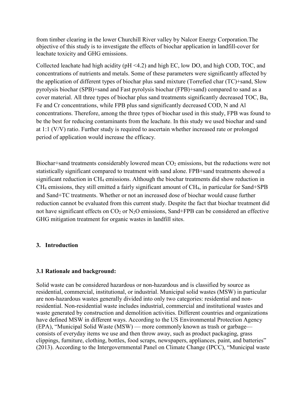from timber clearing in the lower Churchill River valley by Nalcor Energy Corporation.The objective of this study is to investigate the effects of biochar application in landfill-cover for leachate toxicity and GHG emissions.

Collected leachate had high acidity (pH <4.2) and high EC, low DO, and high COD, TOC, and concentrations of nutrients and metals. Some of these parameters were significantly affected by the application of different types of biochar plus sand mixture (Torrefied char (TC)+sand, Slow pyrolysis biochar (SPB)+sand and Fast pyrolysis biochar (FPB)+sand) compared to sand as a cover material. All three types of biochar plus sand treatments significantly decreased TOC, Ba, Fe and Cr concentrations, while FPB plus sand significantly decreased COD, N and Al concentrations. Therefore, among the three types of biochar used in this study, FPB was found to be the best for reducing contaminants from the leachate. In this study we used biochar and sand at 1:1 (V/V) ratio. Further study is required to ascertain whether increased rate or prolonged period of application would increase the efficacy.

Biochar+sand treatments considerably lowered mean  $CO<sub>2</sub>$  emissions, but the reductions were not statistically significant compared to treatment with sand alone. FPB+sand treatments showed a significant reduction in CH4 emissions. Although the biochar treatments did show reduction in CH4 emissions, they still emitted a fairly significant amount of CH4, in particular for Sand+SPB and Sand+TC treatments. Whether or not an increased dose of biochar would cause further reduction cannot be evaluated from this current study. Despite the fact that biochar treatment did not have significant effects on  $CO<sub>2</sub>$  or  $N<sub>2</sub>O$  emissions, Sand+FPB can be considered an effective GHG mitigation treatment for organic wastes in landfill sites.

### **3. Introduction**

## **3.1 Rationale and background:**

Solid waste can be considered hazardous or non-hazardous and is classified by source as residential, commercial, institutional, or industrial. Municipal solid wastes (MSW) in particular are non-hazardous wastes generally divided into only two categories: residential and nonresidential. Non-residential waste includes industrial, commercial and institutional wastes and waste generated by construction and demolition activities. Different countries and organizations have defined MSW in different ways. According to the US Environmental Protection Agency (EPA), "Municipal Solid Waste (MSW) — more commonly known as trash or garbage consists of everyday items we use and then throw away, such as product packaging, grass clippings, furniture, clothing, bottles, food scraps, newspapers, appliances, paint, and batteries" (2013). According to the Intergovernmental Panel on Climate Change (IPCC), "Municipal waste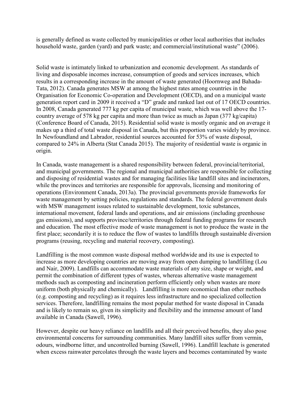is generally defined as waste collected by municipalities or other local authorities that includes household waste, garden (yard) and park waste; and commercial/institutional waste" (2006).

Solid waste is intimately linked to urbanization and economic development. As standards of living and disposable incomes increase, consumption of goods and services increases, which results in a corresponding increase in the amount of waste generated (Hoornweg and Bahada-Tata, 2012). Canada generates MSW at among the highest rates among countries in the Organisation for Economic Co-operation and Development (OECD), and on a municipal waste generation report card in 2009 it received a "D" grade and ranked last out of 17 OECD countries. In 2008, Canada generated 777 kg per capita of municipal waste, which was well above the 17 country average of 578 kg per capita and more than twice as much as Japan (377 kg/capita) (Conference Board of Canada, 2015). Residential solid waste is mostly organic and on average it makes up a third of total waste disposal in Canada, but this proportion varies widely by province. In Newfoundland and Labrador, residential sources accounted for 53% of waste disposal, compared to 24% in Alberta (Stat Canada 2015). The majority of residential waste is organic in origin.

In Canada, waste management is a shared responsibility between federal, provincial/territorial, and municipal governments. The regional and municipal authorities are responsible for collecting and disposing of residential wastes and for managing facilities like landfill sites and incinerators, while the provinces and territories are responsible for approvals, licensing and monitoring of operations (Environment Canada, 2013a). The provincial governments provide frameworks for waste management by setting policies, regulations and standards. The federal government deals with MSW management issues related to sustainable development, toxic substances, international movement, federal lands and operations, and air emissions (including greenhouse gas emissions), and supports province/territories through federal funding programs for research and education. The most effective mode of waste management is not to produce the waste in the first place; secondarily it is to reduce the flow of wastes to landfills through sustainable diversion programs (reusing, recycling and material recovery, composting).

Landfilling is the most common waste disposal method worldwide and its use is expected to increase as more developing countries are moving away from open dumping to landfilling (Lou and Nair, 2009). Landfills can accommodate waste materials of any size, shape or weight, and permit the combination of different types of wastes, whereas alternative waste management methods such as composting and incineration perform efficiently only when wastes are more uniform (both physically and chemically). Landfilling is more economical than other methods (e.g. composting and recycling) as it requires less infrastructure and no specialized collection services. Therefore, landfilling remains the most popular method for waste disposal in Canada and is likely to remain so, given its simplicity and flexibility and the immense amount of land available in Canada (Sawell, 1996).

However, despite our heavy reliance on landfills and all their perceived benefits, they also pose environmental concerns for surrounding communities. Many landfill sites suffer from vermin, odours, windborne litter, and uncontrolled burning (Sawell, 1996). Landfill leachate is generated when excess rainwater percolates through the waste layers and becomes contaminated by waste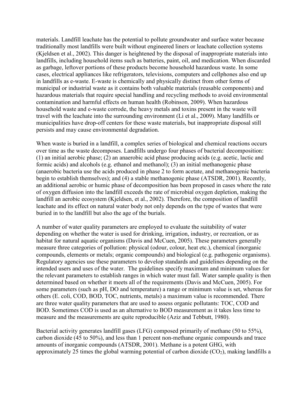materials. Landfill leachate has the potential to pollute groundwater and surface water because traditionally most landfills were built without engineered liners or leachate collection systems (Kjeldsen et al., 2002). This danger is heightened by the disposal of inappropriate materials into landfills, including household items such as batteries, paint, oil, and medication. When discarded as garbage, leftover portions of these products become household hazardous waste. In some cases, electrical appliances like refrigerators, televisions, computers and cellphones also end up in landfills as e-waste. E-waste is chemically and physically distinct from other forms of municipal or industrial waste as it contains both valuable materials (reusable components) and hazardous materials that require special handling and recycling methods to avoid environmental contamination and harmful effects on human health (Robinson, 2009). When hazardous household waste and e-waste corrode, the heavy metals and toxins present in the waste will travel with the leachate into the surrounding environment (Li et al., 2009). Many landfills or municipalities have drop-off centers for these waste materials, but inappropriate disposal still persists and may cause environmental degradation.

When waste is buried in a landfill, a complex series of biological and chemical reactions occurs over time as the waste decomposes. Landfills undergo four phases of bacterial decomposition: (1) an initial aerobic phase; (2) an anaerobic acid phase producing acids (e.g. acetic, lactic and formic acids) and alcohols (e.g. ethanol and methanol); (3) an initial methanogenic phase (anaerobic bacteria use the acids produced in phase 2 to form acetate, and methanogenic bacteria begin to establish themselves); and (4) a stable methanogenic phase (ATSDR, 2001). Recently, an additional aerobic or humic phase of decomposition has been proposed in cases where the rate of oxygen diffusion into the landfill exceeds the rate of microbial oxygen depletion, making the landfill an aerobic ecosystem (Kjeldsen, et al., 2002). Therefore, the composition of landfill leachate and its effect on natural water body not only depends on the type of wastes that were buried in to the landfill but also the age of the burials.

A number of water quality parameters are employed to evaluate the suitability of water depending on whether the water is used for drinking, irrigation, industry, or recreation, or as habitat for natural aquatic organisms (Davis and McCuen, 2005). These parameters generally measure three categories of pollution: physical (odour, colour, heat etc.), chemical (inorganic compounds, elements or metals; organic compounds) and biological (e.g. pathogenic organisms). Regulatory agencies use these parameters to develop standards and guidelines depending on the intended users and uses of the water. The guidelines specify maximum and minimum values for the relevant parameters to establish ranges in which water must fall. Water sample quality is then determined based on whether it meets all of the requirements (Davis and McCuen, 2005). For some parameters (such as pH, DO and temperature) a range or minimum value is set, whereas for others (E. coli, COD, BOD, TOC, nutrients, metals) a maximum value is recommended. There are three water quality parameters that are used to assess organic pollutants: TOC, COD and BOD. Sometimes COD is used as an alternative to BOD measurement as it takes less time to measure and the measurements are quite reproducible (Aziz and Tebbutt, 1980).

Bacterial activity generates landfill gases (LFG) composed primarily of methane (50 to 55%), carbon dioxide (45 to 50%), and less than 1 percent non-methane organic compounds and trace amounts of inorganic compounds (ATSDR, 2001). Methane is a potent GHG, with approximately 25 times the global warming potential of carbon dioxide  $(CO<sub>2</sub>)$ , making landfills a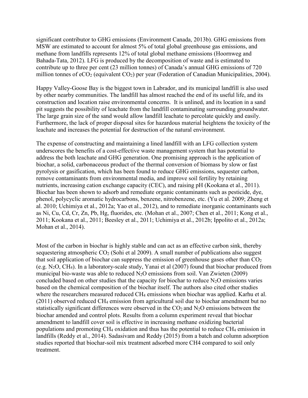significant contributor to GHG emissions (Environment Canada, 2013b). GHG emissions from MSW are estimated to account for almost 5% of total global greenhouse gas emissions, and methane from landfills represents 12% of total global methane emissions (Hoornweg and Bahada-Tata, 2012). LFG is produced by the decomposition of waste and is estimated to contribute up to three per cent (23 million tonnes) of Canada's annual GHG emissions of 720 million tonnes of eCO<sub>2</sub> (equivalent CO<sub>2</sub>) per year (Federation of Canadian Municipalities, 2004).

Happy Valley-Goose Bay is the biggest town in Labrador, and its municipal landfill is also used by other nearby communities. The landfill has almost reached the end of its useful life, and its construction and location raise environmental concerns. It is unlined, and its location in a sand pit suggests the possibility of leachate from the landfill contaminating surrounding groundwater. The large grain size of the sand would allow landfill leachate to percolate quickly and easily. Furthermore, the lack of proper disposal sites for hazardous material heightens the toxicity of the leachate and increases the potential for destruction of the natural environment.

The expense of constructing and maintaining a lined landfill with an LFG collection system underscores the benefits of a cost-effective waste management system that has potential to address the both leachate and GHG generation. One promising approach is the application of biochar, a solid, carbonaceous product of the thermal conversion of biomass by slow or fast pyrolysis or gasification, which has been found to reduce GHG emissions, sequester carbon, remove contaminants from environmental media, and improve soil fertility by retaining nutrients, increasing cation exchange capacity (CEC), and raising pH (Kookana et al., 2011). Biochar has been shown to adsorb and remediate organic contaminants such as pesticide, dye, phenol, polycyclic aromatic hydrocarbons, benzene, nitrobenzene, etc. (Yu et al. 2009; Zheng et al. 2010; Uchimiya et al., 2012a; Yao et al., 2012), and to remediate inorganic contaminants such as Ni, Cu, Cd, Cr, Zn, Pb, Hg, fluorides, etc. (Mohan et al., 2007; Chen et al., 2011; Kong et al., 2011; Kookana et al., 2011; Beesley et al., 2011; Uchimiya et al., 2012b; Ippolito et al., 2012a; Mohan et al., 2014).

Most of the carbon in biochar is highly stable and can act as an effective carbon sink, thereby sequestering atmospheric  $CO<sub>2</sub>$  (Sohi et al 2009). A small number of publications also suggest that soil application of biochar can suppress the emission of greenhouse gases other than  $CO<sub>2</sub>$ (e.g. N2O, CH4). In a laboratory-scale study, Yanai et al (2007) found that biochar produced from municipal bio-waste was able to reduced  $N_2O$  emissions from soil. Van Zwieten (2009) concluded based on other studies that the capacity for biochar to reduce  $N_2O$  emissions varies based on the chemical composition of the biochar itself. The authors also cited other studies where the researchers measured reduced CH<sub>4</sub> emissions when biochar was applied. Karhu et al. (2011) observed reduced CH4 emission from agricultural soil due to biochar amendment but no statistically significant differences were observed in the  $CO<sub>2</sub>$  and  $N<sub>2</sub>O$  emissions between the biochar amended and control plots. Results from a column experiment reveal that biochar amendment to landfill cover soil is effective in increasing methane oxidizing bacterial populations and promoting CH4 oxidation and thus has the potential to reduce CH4 emission in landfills (Reddy et al., 2014). Sadasivam and Reddy (2015) from a batch and column adsorption studies reported that biochar-soil mix treatment adsorbed more CH4 compared to soil only treatment.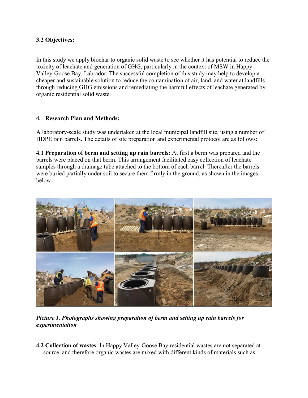## **3.2 Objectives:**

In this study we apply biochar to organic solid waste to see whether it has potential to reduce the toxicity of leachate and generation of GHG, particularly in the context of MSW in Happy Valley-Goose Bay, Labrador. The successful completion of this study may help to develop a cheaper and sustainable solution to reduce the contamination of air, land, and water at landfills through reducing GHG emissions and remediating the harmful effects of leachate generated by organic residential solid waste.

## **4. Research Plan and Methods:**

A laboratory-scale study was undertaken at the local municipal landfill site, using a number of HDPE rain barrels. The details of site preparation and experimental protocol are as follows:

**4.1 Preparation of berm and setting up rain barrels:** At first a berm was prepared and the barrels were placed on that berm. This arrangement facilitated easy collection of leachate samples through a drainage tube attached to the bottom of each barrel. Thereafter the barrels were buried partially under soil to secure them firmly in the ground, as shown in the images below.



*Picture 1. Photographs showing preparation of berm and setting up rain barrels for experimentation*

**4.2 Collection of wastes**: In Happy Valley-Goose Bay residential wastes are not separated at source, and therefore organic wastes are mixed with different kinds of materials such as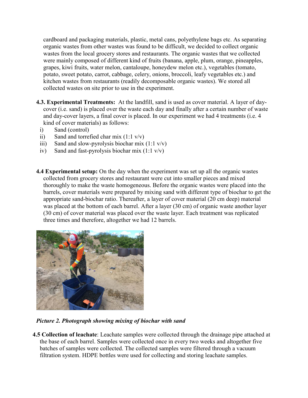cardboard and packaging materials, plastic, metal cans, polyethylene bags etc. As separating organic wastes from other wastes was found to be difficult, we decided to collect organic wastes from the local grocery stores and restaurants. The organic wastes that we collected were mainly composed of different kind of fruits (banana, apple, plum, orange, pineapples, grapes, kiwi fruits, water melon, cantaloupe, honeydew melon etc.), vegetables (tomato, potato, sweet potato, carrot, cabbage, celery, onions, broccoli, leafy vegetables etc.) and kitchen wastes from restaurants (readily decomposable organic wastes). We stored all collected wastes on site prior to use in the experiment.

- **4.3. Experimental Treatments:** At the landfill, sand is used as cover material. A layer of daycover (i.e. sand) is placed over the waste each day and finally after a certain number of waste and day-cover layers, a final cover is placed. In our experiment we had 4 treatments (i.e. 4 kind of cover materials) as follows:
	- i) Sand (control)
	- ii) Sand and torrefied char mix  $(1:1 \text{ v/v})$
	- iii) Sand and slow-pyrolysis biochar mix  $(1:1 \text{ v/v})$
	- iv) Sand and fast-pyrolysis biochar mix  $(1:1 \text{ v/v})$
- **4.4 Experimental setup:** On the day when the experiment was set up all the organic wastes collected from grocery stores and restaurant were cut into smaller pieces and mixed thoroughly to make the waste homogeneous. Before the organic wastes were placed into the barrels, cover materials were prepared by mixing sand with different type of biochar to get the appropriate sand-biochar ratio. Thereafter, a layer of cover material (20 cm deep) material was placed at the bottom of each barrel. After a layer (30 cm) of organic waste another layer (30 cm) of cover material was placed over the waste layer. Each treatment was replicated three times and therefore, altogether we had 12 barrels.



*Picture 2. Photograph showing mixing of biochar with sand*

**4.5 Collection of leachate**: Leachate samples were collected through the drainage pipe attached at the base of each barrel. Samples were collected once in every two weeks and altogether five batches of samples were collected. The collected samples were filtered through a vacuum filtration system. HDPE bottles were used for collecting and storing leachate samples.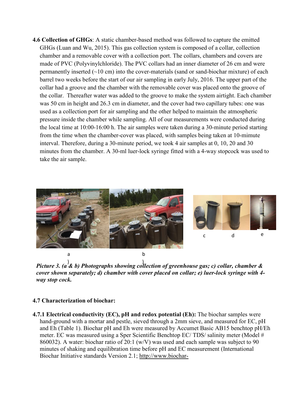**4.6 Collection of GHGs**: A static chamber-based method was followed to capture the emitted GHGs (Luan and Wu, 2015). This gas collection system is composed of a collar, collection chamber and a removable cover with a collection port. The collars, chambers and covers are made of PVC (Polyvinylchloride). The PVC collars had an inner diameter of 26 cm and were permanently inserted  $(\sim 10 \text{ cm})$  into the cover-materials (sand or sand-biochar mixture) of each barrel two weeks before the start of our air sampling in early July, 2016. The upper part of the collar had a groove and the chamber with the removable cover was placed onto the groove of the collar. Thereafter water was added to the groove to make the system airtight. Each chamber was 50 cm in height and 26.3 cm in diameter, and the cover had two capillary tubes: one was used as a collection port for air sampling and the other helped to maintain the atmospheric pressure inside the chamber while sampling. All of our measurements were conducted during the local time at 10:00-16:00 h. The air samples were taken during a 30-minute period starting from the time when the chamber-cover was placed, with samples being taken at 10-mimute interval. Therefore, during a 30-minute period, we took 4 air samples at 0, 10, 20 and 30 minutes from the chamber. A 30-ml luer-lock syringe fitted with a 4-way stopcock was used to take the air sample.



*Picture 3. (a & b) Photographs showing collection of greenhouse gas; c) collar, chamber &*  ) )*cover shown separately; d) chamber with cover placed on collar; e) luer-lock syringe with 4 way stop cock.*

### **4.7 Characterization of biochar:**

**4.7.1 Electrical conductivity (EC), pH and redox potential (Eh):** The biochar samples were hand-ground with a mortar and pestle, sieved through a 2mm sieve, and measured for EC, pH and Eh (Table 1). Biochar pH and Eh were measured by Accumet Basic AB15 benchtop pH/Eh meter. EC was measured using a Sper Scientific Benchtop EC/ TDS/ salinity meter (Model # 860032). A water: biochar ratio of 20:1 (w/V) was used and each sample was subject to 90 minutes of shaking and equilibration time before pH and EC measurement (International Biochar Initiative standards Version 2.1; http://www.biochar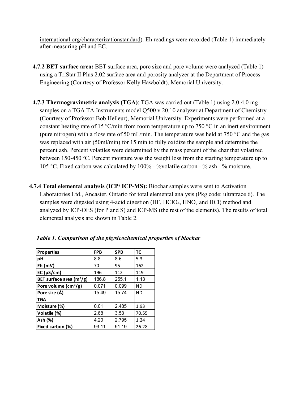international.org/characterizationstandard). Eh readings were recorded (Table 1) immediately after measuring pH and EC.

- **4.7.2 BET surface area:** BET surface area, pore size and pore volume were analyzed (Table 1) using a TriStar II Plus 2.02 surface area and porosity analyzer at the Department of Process Engineering (Courtesy of Professor Kelly Hawboldt), Memorial University.
- **4.7.3 Thermogravimetric analysis (TGA)**: TGA was carried out (Table 1) using 2.0-4.0 mg samples on a TGA TA Instruments model Q500 v 20.10 analyzer at Department of Chemistry (Courtesy of Professor Bob Helleur), Memorial University. Experiments were performed at a constant heating rate of 15 °C/min from room temperature up to 750 °C in an inert environment (pure nitrogen) with a flow rate of 50 mL/min. The temperature was held at 750  $\degree$ C and the gas was replaced with air (50ml/min) for 15 min to fully oxidize the sample and determine the percent ash. Percent volatiles were determined by the mass percent of the char that volatized between 150-450 °C. Percent moisture was the weight loss from the starting temperature up to 105 °C. Fixed carbon was calculated by 100% - %volatile carbon - % ash - % moisture.
- **4.7.4 Total elemental analysis (ICP/ ICP-MS):** Biochar samples were sent to Activation Laboratories Ltd., Ancaster, Ontario for total elemental analysis (Pkg code: ultratrace 6). The samples were digested using 4-acid digestion (HF, HClO<sub>4</sub>, HNO<sub>3</sub> and HCl) method and analyzed by ICP-OES (for P and S) and ICP-MS (the rest of the elements). The results of total elemental analysis are shown in Table 2.

| <b>Properties</b>                    | <b>FPB</b> | <b>SPB</b> | <b>TC</b> |
|--------------------------------------|------------|------------|-----------|
| pH                                   | 8.8        | 8.6        | 5.3       |
| $Eh$ (mV)                            | 70         | 95         | 162       |
| EC ( $\mu$ S/cm)                     | 196        | 112        | 119       |
| BET surface area $(m^2/g)$           | 186.8      | 255.1      | 1.13      |
| Pore volume $\text{(cm}^3\text{/g)}$ | 0.071      | 0.099      | <b>ND</b> |
| Pore size (Å)                        | 15.49      | 15.74      | <b>ND</b> |
| <b>TGA</b>                           |            |            |           |
| Moisture (%)                         | 0.01       | 2.485      | 1.93      |
| Volatile (%)                         | 2.68       | 3.53       | 70.55     |
| Ash (%)                              | 4.20       | 2.795      | 1.24      |
| Fixed carbon (%)                     | 93.11      | 91.19      | 26.28     |

*Table 1. Comparison of the physicochemical properties of biochar*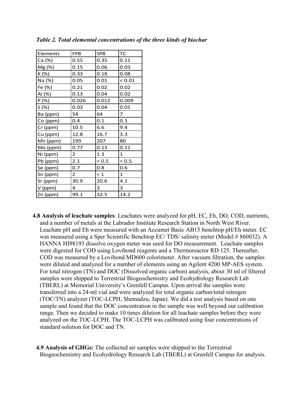| Elements | <b>FPB</b>     | <b>SPB</b> | TC           |
|----------|----------------|------------|--------------|
| Ca (%)   | 0.55           | 0.35       | 0.11         |
| Mg (%)   | 0.15           | 0.06       | 0.03         |
| K(%)     | 0.33           | 0.18       | 0.08         |
| Na (%)   | 0.05           | 0.01       | < 0.01       |
| Fe (%)   | 0.21           | 0.02       | 0.02         |
| Al (%)   | 0.13           | 0.04       | 0.02         |
| P(%)     | 0.026          | 0.012      | 0.009        |
| S (%)    | 0.03           | 0.04       | 0.01         |
| Ba (ppm) | 54             | 64         | 7            |
| Co (ppm) | 0.4            | 0.1        | 0.1          |
| Cr (ppm) | 10.5           | 6.6        | 9.4          |
| Cu (ppm) | 12.8           | 16.7       | 3.3          |
| Mn (ppm) | 199            | 207        | 80           |
| Mo (ppm) | 0.77           | 0.13       | 0.11         |
| Ni (ppm) | $\overline{2}$ | 1.3        | 1            |
| Pb (ppm) | 2.1            | < 0.5      | < 0.5        |
| Se (ppm) | 0.7            | 0.8        | 0.6          |
| Sn (ppm) | $\overline{2}$ | $\leq 1$   | $\mathbf{1}$ |
| Sr (ppm) | 30.9           | 20.6       | 4.1          |
| V (ppm)  | 4              | 3          | 3            |
| Zn (ppm) | 99.1           | 32.5       | 14.2         |

*Table 2. Total elemental concentrations of the three kinds of biochar*

- **4.8 Analysis of leachate samples**: Leachates were analyzed for pH, EC, Eh, DO, COD, nutrients, and a number of metals at the Labrador Institute Research Station in North West River. Leachate pH and Eh were measured with an Accumet Basic AB15 benchtop pH/Eh meter. EC was measured using a Sper Scientific Benchtop EC/ TDS/ salinity meter (Model # 860032). A HANNA HI98193 dissolve oxygen meter was used for DO measurement. Leachate samples were digested for COD using Lovibond reagents and a Thermoreactor RD 125. Thereafter, COD was measured by a Lovibond MD600 colorimeter. After vacuum filtration, the samples were diluted and analyzed for a number of elements using an Agilent 4200 MP-AES system. For total nitrogen (TN) and DOC (Dissolved organic carbon) analysis, about 30 ml of filtered samples were shipped to Terrestrial Biogeochemistry and Ecohydrology Research Lab (TBERL) at Memorial University's Grenfell Campus. Upon arrival the samples were transferred into a 24-ml vial and were analyzed for total organic carbon/total nitrogen (TOC/TN) analyzer (TOC-LCPH, Shemadzu, Japan). We did a test analysis based on one sample and found that the DOC concentration in the sample was well beyond our calibration range. Then we decided to make 10 times dilution for all leachate samples before they were analyzed on the TOC-LCPH. The TOC-LCPH was calibrated using four concentrations of standard solution for DOC and TN.
- **4.9 Analysis of GHGs:** The collected air samples were shipped to the Terrestrial Biogeochemistry and Ecohydrology Research Lab (TBERL) at Grenfell Campus for analysis.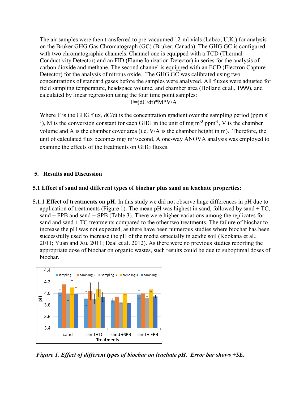The air samples were then transferred to pre-vacuumed 12-ml vials (Labco, U.K.) for analysis on the Bruker GHG Gas Chromatograph (GC) (Bruker, Canada). The GHG GC is configured with two chromatographic channels. Channel one is equipped with a TCD (Thermal Conductivity Detector) and an FID (Flame Ionization Detector) in series for the analysis of carbon dioxide and methane. The second channel is equipped with an ECD (Electron Capture Detector) for the analysis of nitrous oxide. The GHG GC was calibrated using two concentrations of standard gases before the samples were analyzed. All fluxes were adjusted for field sampling temperature, headspace volume, and chamber area (Holland et al., 1999), and calculated by linear regression using the four time point samples:

 $F=(dC/dt)*M*V/A$ 

Where F is the GHG flux,  $dC/dt$  is the concentration gradient over the sampling period (ppm s-<sup>1</sup>), M is the conversion constant for each GHG in the unit of mg  $m^{-3}$  ppm<sup>-1</sup>, V is the chamber volume and A is the chamber cover area (i.e. V/A is the chamber height in m). Therefore, the unit of calculated flux becomes mg/ $m^2$ /second. A one-way ANOVA analysis was employed to examine the effects of the treatments on GHG fluxes.

# **5. Results and Discussion**

## **5.1 Effect of sand and different types of biochar plus sand on leachate properties:**

**5.1.1 Effect of treatments on pH**: In this study we did not observe huge differences in pH due to application of treatments (Figure 1). The mean pH was highest in sand, followed by sand  $+ TC$ , sand  $+$  FPB and sand  $+$  SPB (Table 3). There were higher variations among the replicates for sand and sand + TC treatments compared to the other two treatments. The failure of biochar to increase the pH was not expected, as there have been numerous studies where biochar has been successfully used to increase the pH of the media especially in acidic soil (Kookana et al., 2011; Yuan and Xu, 2011; Deal et al. 2012). As there were no previous studies reporting the appropriate dose of biochar on organic wastes, such results could be due to suboptimal doses of biochar.



*Figure 1. Effect of different types of biochar on leachate pH. Error bar shows ±SE.*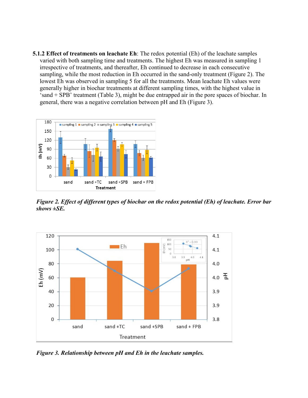**5.1.2 Effect of treatments on leachate Eh**: The redox potential (Eh) of the leachate samples varied with both sampling time and treatments. The highest Eh was measured in sampling 1 irrespective of treatments, and thereafter, Eh continued to decrease in each consecutive sampling, while the most reduction in Eh occurred in the sand-only treatment (Figure 2). The lowest Eh was observed in sampling 5 for all the treatments. Mean leachate Eh values were generally higher in biochar treatments at different sampling times, with the highest value in 'sand + SPB' treatment (Table 3), might be due entrapped air in the pore spaces of biochar. In general, there was a negative correlation between pH and Eh (Figure 3).



*Figure 2. Effect of different types of biochar on the redox potential (Eh) of leachate. Error bar shows ±SE.*



*Figure 3. Relationship between pH and Eh in the leachate samples.*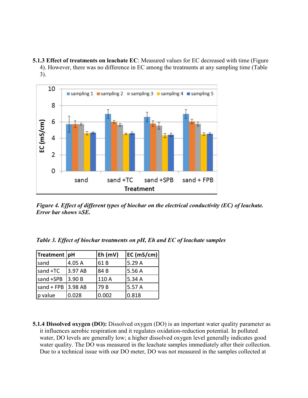**5.1.3 Effect of treatments on leachate EC**: Measured values for EC decreased with time (Figure 4). However, there was no difference in EC among the treatments at any sampling time (Table 3).



*Figure 4. Effect of different types of biochar on the electrical conductivity (EC) of leachate. Error bar shows ±SE.*

|  |  |  | Table 3. Effect of biochar treatments on pH, Eh and EC of leachate samples |  |  |  |  |  |
|--|--|--|----------------------------------------------------------------------------|--|--|--|--|--|
|--|--|--|----------------------------------------------------------------------------|--|--|--|--|--|

| Treatment   pH                     |         | Eh (mV) | EC (mS/cm) |
|------------------------------------|---------|---------|------------|
| sand                               | 4.05 A  | 61B     | 5.29A      |
| sand +TC                           | 3.97 AB | 84B     | 5.56A      |
| sand +SPB                          | 3.90B   | 110 A   | 5.34A      |
| $\vert$ sand + FPB $\vert$ 3.98 AB |         | 79 B    | 5.57 A     |
| p value                            | 0.028   | 0.002   | 0.818      |

**5.1.4 Dissolved oxygen (DO):** Dissolved oxygen (DO) is an important water quality parameter as it influences aerobic respiration and it regulates oxidation-reduction potential. In polluted water, DO levels are generally low; a higher dissolved oxygen level generally indicates good water quality. The DO was measured in the leachate samples immediately after their collection. Due to a technical issue with our DO meter, DO was not measured in the samples collected at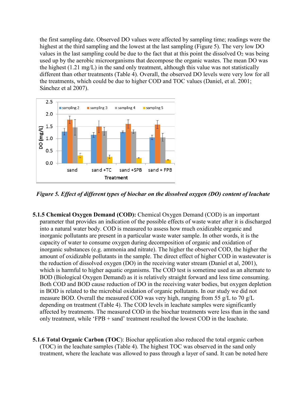the first sampling date. Observed DO values were affected by sampling time; readings were the highest at the third sampling and the lowest at the last sampling (Figure 5). The very low DO values in the last sampling could be due to the fact that at this point the dissolved  $O_2$  was being used up by the aerobic microorganisms that decompose the organic wastes. The mean DO was the highest (1.21 mg/L) in the sand only treatment, although this value was not statistically different than other treatments (Table 4). Overall, the observed DO levels were very low for all the treatments, which could be due to higher COD and TOC values (Daniel, et al. 2001; Sánchez et al 2007).



*Figure 5. Effect of different types of biochar on the dissolved oxygen (DO) content of leachate* 

- **5.1.5 Chemical Oxygen Demand (COD):** Chemical Oxygen Demand (COD) is an important parameter that provides an indication of the possible effects of waste water after it is discharged into a natural water body. COD is measured to assess how much oxidizable organic and inorganic pollutants are present in a particular waste water sample. In other words, it is the capacity of water to consume oxygen during decomposition of organic and oxidation of inorganic substances (e.g. ammonia and nitrate). The higher the observed COD, the higher the amount of oxidizable pollutants in the sample. The direct effect of higher COD in wastewater is the reduction of dissolved oxygen (DO) in the receiving water stream (Daniel et al, 2001), which is harmful to higher aquatic organisms. The COD test is sometime used as an alternate to BOD (Biological Oxygen Demand) as it is relatively straight forward and less time consuming. Both COD and BOD cause reduction of DO in the receiving water bodies, but oxygen depletion in BOD is related to the microbial oxidation of organic pollutants. In our study we did not measure BOD. Overall the measured COD was very high, ranging from 55 g/L to 70 g/L depending on treatment (Table 4). The COD levels in leachate samples were significantly affected by treatments. The measured COD in the biochar treatments were less than in the sand only treatment, while 'FPB + sand' treatment resulted the lowest COD in the leachate.
- **5.1.6 Total Organic Carbon (TOC**): Biochar application also reduced the total organic carbon (TOC) in the leachate samples (Table 4). The highest TOC was observed in the sand only treatment, where the leachate was allowed to pass through a layer of sand. It can be noted here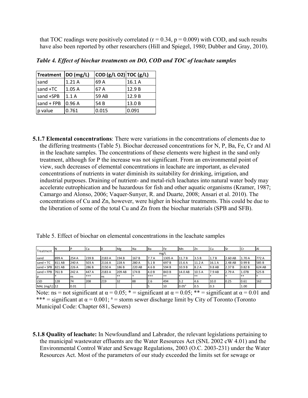that TOC readings were positively correlated ( $r = 0.34$ ,  $p = 0.009$ ) with COD, and such results have also been reported by other researchers (Hill and Spiegel, 1980; Dubber and Gray, 2010).

| Treatment   DO (mg/L) |       | COD (g/L O2) TOC (g/L) |        |
|-----------------------|-------|------------------------|--------|
| sand                  | 1.21A | 69 A                   | 16.1A  |
| sand $+TC$            | 1.05A | 67 A                   | 12.9 B |
| sand +SPB             | 1.1A  | 59 AB                  | 12.9B  |
| sand $+$ FPB          | 0.96A | 54 B                   | 13.0 B |
| p value               | 0.761 | 0.015                  | 0.091  |

*Table 4. Effect of biochar treatments on DO, COD and TOC of leachate samples*

**5.1.7 Elemental concentrations**: There were variations in the concentrations of elements due to the differing treatments (Table 5). Biochar decreased concentrations for N, P, Ba, Fe, Cr and Al in the leachate samples. The concentrations of these elements were highest in the sand only treatment, although for P the increase was not significant. From an environmental point of view, such decreases of elemental concentrations in leachate are important, as elevated concentrations of nutrients in water diminish its suitability for drinking, irrigation, and industrial purposes. Draining of nutrient- and metal-rich leachates into natural water body may accelerate eutrophication and be hazardous for fish and other aquatic organisms (Kramer, 1987; Camargo and Alonso, 2006; Vaquer-Sunyer, R. and Duarte, 2008; Ansari et al. 2010). The concentrations of Cu and Zn, however, were higher in biochar treatments. This could be due to the liberation of some of the total Cu and Zn from the biochar materials (SPB and SFB).

|  |  |  |  |  |  |  | Table 5. Effect of biochar on elemental concentrations in the leachate samples |  |
|--|--|--|--|--|--|--|--------------------------------------------------------------------------------|--|
|--|--|--|--|--|--|--|--------------------------------------------------------------------------------|--|

| Treatment     |        |       | Ca    |        | Mg     | Na     | <b>I</b> Ba | <b>Fe</b> | Mn             | <b>Zn</b> | Cu     | <b>Sr</b> | <b>Cr</b> | IAI    |
|---------------|--------|-------|-------|--------|--------|--------|-------------|-----------|----------------|-----------|--------|-----------|-----------|--------|
|               |        |       |       |        |        |        |             | mg/L      |                |           |        |           |           |        |
| sand          | 899 A  | 254 A | 239 B | 2183 A | 194 B  | 167 B  | 7.7A        | 1305 A    | 11.7 B         | 3.5B      | 1.7B   | 2.60 AB   | 1.70 A    | 772 A  |
| $sand + TC$   | 811 AB | 240 A | 503 A | 2116 A | 228 A  | 280 A  | 5.1B        | 697B      | 15.6 A         | 11.2 A    | 16.1 A | 2.48 AB   | 0.99B     | 585B   |
| sand + SPB    | 821 AB | 226 A | 286 B | 2150 A | 186 B  | 220 AB | 4.6 B       | 594 B     | 10.9B          | 8.2 A     | 9.8 AB | 2.37 B    | 0.82B     | 624 AB |
| sand + FPB    | 761B   | 242 A | 447 A | 2183 A | 209 AB | 174 B  | 4.0 B       | 843 B     | 14.0 AB        | 10.5A     | 7.9 AB | 2.79 A    | 1.07B     | 525B   |
| Ip            |        | ns    | ***   | Ins    | **     |        | ***         | **        |                | **        |        |           | $***$     |        |
| <b>LSD</b>    | 128    | 74    | 208   | 219    | 32     | 88     | 2.6         | 494       | $3.2$          | 4.6       | 10.0   | 0.25      | 0.61      | 162    |
| MAL (mg/L) 12 |        | 0.01  |       |        |        |        |             | 10        | $0.05^{\circ}$ | 0.5       | 0.3    |           | 1.00      |        |

Note: ns = not significant at  $\alpha = 0.05$ ; \* = significant at  $\alpha = 0.05$ ; \* \* = significant at  $\alpha = 0.01$  and \*\*\* = significant at  $\alpha$  = 0.001; <sup>a</sup> = storm sewer discharge limit by City of Toronto (Toronto Municipal Code: Chapter 681, Sewers)

**5.1.8 Quality of leachate:** In Newfoundland and Labrador, the relevant legislations pertaining to the municipal wastewater effluents are the Water Resources Act (SNL 2002 cW 4.01) and the Environmental Control Water and Sewage Regulations, 2003 (O.C. 2003-231) under the Water Resources Act. Most of the parameters of our study exceeded the limits set for sewage or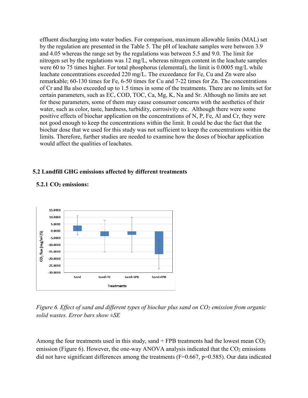effluent discharging into water bodies. For comparison, maximum allowable limits (MAL) set by the regulation are presented in the Table 5. The pH of leachate samples were between 3.9 and 4.05 whereas the range set by the regulations was between 5.5 and 9.0. The limit for nitrogen set by the regulations was 12 mg/L, whereas nitrogen content in the leachate samples were 60 to 75 times higher. For total phosphorus (elemental), the limit is 0.0005 mg/L while leachate concentrations exceeded 220 mg/L. The exceedance for Fe, Cu and Zn were also remarkable; 60-130 times for Fe, 6-50 times for Cu and 7-22 times for Zn. The concentrations of Cr and Ba also exceeded up to 1.5 times in some of the treatments. There are no limits set for certain parameters, such as EC, COD, TOC, Ca, Mg, K, Na and Sr. Although no limits are set for these parameters, some of them may cause consumer concerns with the aesthetics of their water, such as color, taste, hardness, turbidity, corrosivity etc. Although there were some positive effects of biochar application on the concentrations of N, P, Fe, Al and Cr, they were not good enough to keep the concentrations within the limit. It could be due the fact that the biochar dose that we used for this study was not sufficient to keep the concentrations within the limits. Therefore, further studies are needed to examine how the doses of biochar application would affect the qualities of leachates.

### **5.2 Landfill GHG emissions affected by different treatments**



### **5.2.1 CO2 emissions:**

*Figure 6. Effect of sand and different types of biochar plus sand on CO<sub>2</sub> emission from organic solid wastes. Error bars show ±SE*

Among the four treatments used in this study, sand  $+$  FPB treatments had the lowest mean  $CO<sub>2</sub>$ emission (Figure 6). However, the one-way ANOVA analysis indicated that the  $CO<sub>2</sub>$  emissions did not have significant differences among the treatments ( $F=0.667$ ,  $p=0.585$ ). Our data indicated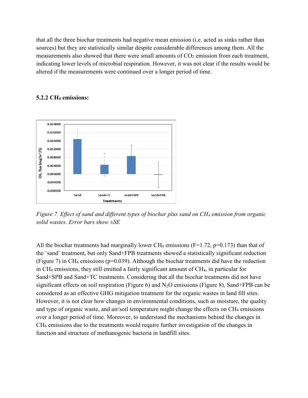that all the three biochar treatments had negative mean emission (i.e. acted as sinks rather than sources) but they are statistically similar despite considerable differences among them. All the measurements also showed that there were small amounts of  $CO<sub>2</sub>$  emission from each treatment, indicating lower levels of microbial respiration. However, it was not clear if the results would be altered if the measurements were continued over a longer period of time.



### **5.2.2 CH4 emissions:**

*Figure 7. Effect of sand and different types of biochar plus sand on CH4 emission from organic solid wastes. Error bars show ±SE*

All the biochar treatments had marginally lower CH<sub>4</sub> emissions (F=1.72, p=0.173) than that of the 'sand' treatment, but only Sand+FPB treatments showed a statistically significant reduction (Figure 7) in CH4 emissions (p=0.039). Although the biochar treatments did have the reduction in CH4 emissions, they still emitted a fairly significant amount of CH4, in particular for Sand+SPB and Sand+TC treatments. Considering that all the biochar treatments did not have significant effects on soil respiration (Figure 6) and  $N_2O$  emissions (Figure 8), Sand+FPB can be considered as an effective GHG mitigation treatment for the organic wastes in land fill sites. However, it is not clear how changes in environmental conditions, such as moisture, the quality and type of organic waste, and air/soil temperature might change the effects on CH<sub>4</sub> emissions over a longer period of time. Moreover, to understand the mechanisms behind the changes in CH4 emissions due to the treatments would require further investigation of the changes in function and structure of methanogenic bacteria in landfill sites.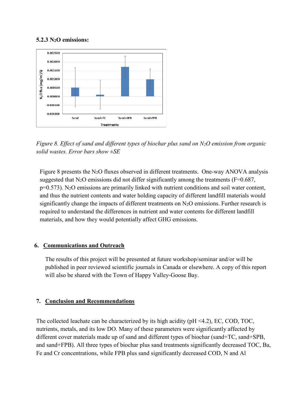### **5.2.3 N2O emissions:**



*Figure 8. Effect of sand and different types of biochar plus sand on N2O emission from organic solid wastes. Error bars show ±SE*

Figure 8 presents the  $N_2O$  fluxes observed in different treatments. One-way ANOVA analysis suggested that  $N_2O$  emissions did not differ significantly among the treatments (F=0.687,  $p=0.573$ ). N<sub>2</sub>O emissions are primarily linked with nutrient conditions and soil water content, and thus the nutrient contents and water holding capacity of different landfill materials would significantly change the impacts of different treatments on  $N_2O$  emissions. Further research is required to understand the differences in nutrient and water contents for different landfill materials, and how they would potentially affect GHG emissions.

### **6. Communications and Outreach**

The results of this project will be presented at future workshop/seminar and/or will be published in peer reviewed scientific journals in Canada or elsewhere. A copy of this report will also be shared with the Town of Happy Valley-Goose Bay.

### **7. Conclusion and Recommendations**

The collected leachate can be characterized by its high acidity ( $pH < 4.2$ ), EC, COD, TOC, nutrients, metals, and its low DO. Many of these parameters were significantly affected by different cover materials made up of sand and different types of biochar (sand+TC, sand+SPB, and sand+FPB). All three types of biochar plus sand treatments significantly decreased TOC, Ba, Fe and Cr concentrations, while FPB plus sand significantly decreased COD, N and Al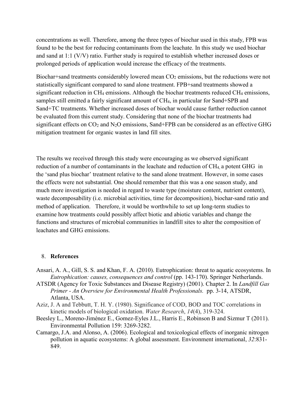concentrations as well. Therefore, among the three types of biochar used in this study, FPB was found to be the best for reducing contaminants from the leachate. In this study we used biochar and sand at 1:1 (V/V) ratio. Further study is required to establish whether increased doses or prolonged periods of application would increase the efficacy of the treatments.

Biochar+sand treatments considerably lowered mean CO<sub>2</sub> emissions, but the reductions were not statistically significant compared to sand alone treatment. FPB+sand treatments showed a significant reduction in CH<sub>4</sub> emissions. Although the biochar treatments reduced CH<sub>4</sub> emissions, samples still emitted a fairly significant amount of CH<sub>4</sub>, in particular for Sand+SPB and Sand+TC treatments. Whether increased doses of biochar would cause further reduction cannot be evaluated from this current study. Considering that none of the biochar treatments had significant effects on  $CO_2$  and  $N_2O$  emissions, Sand+FPB can be considered as an effective GHG mitigation treatment for organic wastes in land fill sites.

The results we received through this study were encouraging as we observed significant reduction of a number of contaminants in the leachate and reduction of CH<sub>4</sub>, a potent GHG in the 'sand plus biochar' treatment relative to the sand alone treatment. However, in some cases the effects were not substantial. One should remember that this was a one season study, and much more investigation is needed in regard to waste type (moisture content, nutrient content), waste decomposability (i.e. microbial activities, time for decomposition), biochar-sand ratio and method of application. Therefore, it would be worthwhile to set up long-term studies to examine how treatments could possibly affect biotic and abiotic variables and change the functions and structures of microbial communities in landfill sites to alter the composition of leachates and GHG emissions.

#### 8. **References**

- Ansari, A. A., Gill, S. S. and Khan, F. A. (2010). Eutrophication: threat to aquatic ecosystems. In *Eutrophication: causes, consequences and control* (pp. 143-170). Springer Netherlands.
- ATSDR (Agency for Toxic Substances and Disease Registry) (2001). Chapter 2. In *Landfill Gas Primer - An Overview for Environmental Health Professionals.* pp. 3-14, ATSDR, Atlanta, USA.
- Aziz, J. A and Tebbutt, T. H. Y. (1980). Significance of COD, BOD and TOC correlations in kinetic models of biological oxidation. *Water Research*, *14*(4), 319-324.
- Beesley L., Moreno-Jiménez E., Gomez-Eyles J.L., Harris E., Robinson B and Sizmur T (2011). Environmental Pollution 159: 3269-3282.
- Camargo, J.A. and Alonso, A. (2006). Ecological and toxicological effects of inorganic nitrogen pollution in aquatic ecosystems: A global assessment. Environment international, *32*:831- 849.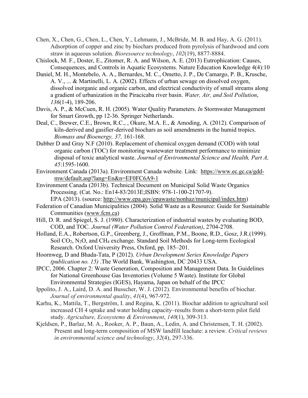Chen, X., Chen, G., Chen, L., Chen, Y., Lehmann, J., McBride, M. B. and Hay, A. G. (2011). Adsorption of copper and zinc by biochars produced from pyrolysis of hardwood and corn straw in aqueous solution. *Bioresource technology*, *102*(19), 8877-8884.

Chislock, M. F., Doster, E., Zitomer, R. A. and Wilson, A. E. (2013) Eutrophication: Causes, Consequences, and Controls in Aquatic Ecosystems. Nature Education Knowledge 4(4):10

- Daniel, M. H., Montebelo, A. A., Bernardes, M. C., Ometto, J. P., De Camargo, P. B., Krusche, A. V., ... & Martinelli, L. A. (2002). Effects of urban sewage on dissolved oxygen, dissolved inorganic and organic carbon, and electrical conductivity of small streams along a gradient of urbanization in the Piracicaba river basin. *Water, Air, and Soil Pollution*, *136*(1-4), 189-206.
- Davis, A. P., & McCuen, R. H. (2005). Water Quality Parameters. *In* Stormwater Management for Smart Growth, pp 12-36. Springer Netherlands.
- Deal, C., Brewer, C.E., Brown, R.C., , Okure, M.A. E., & Amoding, A. (2012). Comparison of kiln-derived and gasifier-derived biochars as soil amendments in the humid tropics. *Biomass and Bioenergy, 37,* 161-168.
- Dubber D and Gray N.F (2010). Replacement of chemical oxygen demand (COD) with total organic carbon (TOC) for monitoring wastewater treatment performance to minimize disposal of toxic analytical waste. *Journal of Environmental Science and Health, Part A, 45*:1595-1600.
- Environment Canada (2013a). Environment Canada website. Link: https://www.ec.gc.ca/gddmw/default.asp?lang=En&n=EF0FC6A9-1
- Environment Canada (2013b). Technical Document on Municipal Solid Waste Organics Processing. (Cat. No.: En14-83/2013E;ISBN: 978-1-100-21707-9).

EPA (2013). (source: http://www.epa.gov/epawaste/nonhaz/municipal/index.htm) Federation of Canadian Municipalities (2004). Solid Waste as a Resource: Guide for Sustainable

- Communities (www.fcm.ca) Hill, D. R. and Spiegel, S. J. (1980). Characterization of industrial wastes by evaluating BOD, COD, and TOC. *Journal (Water Pollution Control Federation)*, 2704-2708.
- Holland, E.A., Robertson, G.P., Greenberg, J., Groffman, P.M., Boone, R.D., Gosz, J.R.(1999). Soil CO2, N2O, and CH4 exchange. Standard Soil Methods for Long-term Ecological Research. Oxford University Press, Oxford, pp. 185–201.
- Hoornweg, D and Bhada-Tata, P (2012). *Urban Development Series Knowledge Papers (publication no. 15)* .The World Bank, Washington, DC 20433 USA.
- IPCC, 2006. Chapter 2: Waste Generation, Composition and Management Data. In Guidelines for National Greenhouse Gas Inventories (Volume 5 Waste). Institute for Global Environmental Strategies (IGES), Hayama, Japan on behalf of the IPCC
- Ippolito, J. A., Laird, D. A. and Busscher, W. J. (2012). Environmental benefits of biochar. *Journal of environmental quality*, *41*(4), 967-972.
- Karhu, K., Mattila, T., Bergström, I. and Regina, K. (2011). Biochar addition to agricultural soil increased CH 4 uptake and water holding capacity–results from a short-term pilot field study. *Agriculture, Ecosystems & Environment*, *140*(1), 309-313.
- Kjeldsen, P., Barlaz, M. A., Rooker, A. P., Baun, A., Ledin, A. and Christensen, T. H. (2002). Present and long-term composition of MSW landfill leachate: a review. *Critical reviews in environmental science and technology*, *32*(4), 297-336.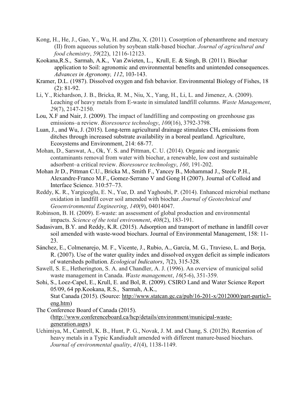- Kong, H., He, J., Gao, Y., Wu, H. and Zhu, X. (2011). Cosorption of phenanthrene and mercury (II) from aqueous solution by soybean stalk-based biochar. *Journal of agricultural and food chemistry*, *59*(22), 12116-12123.
- Kookana,R.S., Sarmah, A.K., Van Zwieten, L., Krull, E. & Singh, B. (2011). Biochar application to Soil: agronomic and environmental benefits and unintended consequences. *Advances in Agronomy, 112*, 103-143.
- Kramer, D.L. (1987). Dissolved oxygen and fish behavior. Environmental Biology of Fishes, 18 (2): 81-92.
- Li, Y., Richardson, J. B., Bricka, R. M., Niu, X., Yang, H., Li, L. and Jimenez, A. (2009). Leaching of heavy metals from E-waste in simulated landfill columns. *Waste Management*, *29*(7), 2147-2150.
- Lou, X.F and Nair, J. (2009). The impact of landfilling and composting on greenhouse gas emissions–a review. *Bioresource technology*, *100*(16), 3792-3798.
- Luan, J., and Wu, J. (2015). Long-term agricultural drainage stimulates  $CH_4$  emissions from ditches through increased substrate availability in a boreal peatland. Agriculture, Ecosystems and Environment, 214: 68-77.
- Mohan, D., Sarswat, A., Ok, Y. S. and Pittman, C. U. (2014). Organic and inorganic contaminants removal from water with biochar, a renewable, low cost and sustainable adsorbent–a critical review. *Bioresource technology*, *160*, 191-202.
- Mohan Jr D., Pittman C.U., Bricka M., Smith F., Yancey B., Mohammad J., Steele P.H., Alexandre-Franco M.F., Gomez-Serrano V and Gong H (2007). Journal of Colloid and Interface Science. 310:57–73.
- Reddy, K. R., Yargicoglu, E. N., Yue, D. and Yaghoubi, P. (2014). Enhanced microbial methane oxidation in landfill cover soil amended with biochar. *Journal of Geotechnical and Geoenvironmental Engineering*, *140*(9), 04014047.
- Robinson, B. H. (2009). E-waste: an assessment of global production and environmental impacts. *Science of the total environment*, *408*(2), 183-191.
- Sadasivam, B.Y. and Reddy, K.R. (2015). Adsorption and transport of methane in landfill cover soil amended with waste-wood biochars. Journal of Environmental Management, 158: 11- 23.
- Sánchez, E., Colmenarejo, M. F., Vicente, J., Rubio, A., García, M. G., Travieso, L. and Borja, R. (2007). Use of the water quality index and dissolved oxygen deficit as simple indicators of watersheds pollution. *Ecological Indicators*, *7*(2), 315-328.
- Sawell, S. E., Hetherington, S. A. and Chandler, A. J. (1996). An overview of municipal solid waste management in Canada. *Waste management*, *16*(5-6), 351-359.
- Sohi, S., Loez-Capel, E., Krull, E. and Bol, R. (2009). CSIRO Land and Water Science Report 05/09, 64 pp.Kookana, R.S., Sarmah, A.K., Stat Canada (2015). (Source: http://www.statcan.gc.ca/pub/16-201-x/2012000/part-partie3 eng.htm)
- The Conference Board of Canada (2015). (http://www.conferenceboard.ca/hcp/details/environment/municipal-wastegeneration.aspx)
- Uchimiya, M., Cantrell, K. B., Hunt, P. G., Novak, J. M. and Chang, S. (2012b). Retention of heavy metals in a Typic Kandiudult amended with different manure-based biochars. *Journal of environmental quality*, *41*(4), 1138-1149.